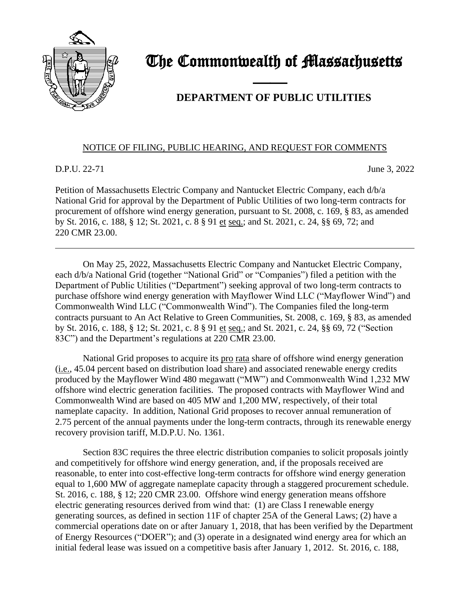

## The Commonwealth of Massachusetts

## **DEPARTMENT OF PUBLIC UTILITIES**

## NOTICE OF FILING, PUBLIC HEARING, AND REQUEST FOR COMMENTS

and the contract of the contract of

D.P.U. 22-71 June 3, 2022

Petition of Massachusetts Electric Company and Nantucket Electric Company, each d/b/a National Grid for approval by the Department of Public Utilities of two long-term contracts for procurement of offshore wind energy generation, pursuant to St. 2008, c. 169, § 83, as amended by St. 2016, c. 188, § 12; St. 2021, c. 8 § 91 et seq.; and St. 2021, c. 24, §§ 69, 72; and 220 CMR 23.00.

On May 25, 2022, Massachusetts Electric Company and Nantucket Electric Company, each d/b/a National Grid (together "National Grid" or "Companies") filed a petition with the Department of Public Utilities ("Department") seeking approval of two long-term contracts to purchase offshore wind energy generation with Mayflower Wind LLC ("Mayflower Wind") and Commonwealth Wind LLC ("Commonwealth Wind"). The Companies filed the long-term contracts pursuant to An Act Relative to Green Communities, St. 2008, c. 169, § 83, as amended by St. 2016, c. 188, § 12; St. 2021, c. 8 § 91 et seq.; and St. 2021, c. 24, §§ 69, 72 ("Section 83C") and the Department's regulations at 220 CMR 23.00.

National Grid proposes to acquire its pro rata share of offshore wind energy generation (i.e., 45.04 percent based on distribution load share) and associated renewable energy credits produced by the Mayflower Wind 480 megawatt ("MW") and Commonwealth Wind 1,232 MW offshore wind electric generation facilities. The proposed contracts with Mayflower Wind and Commonwealth Wind are based on 405 MW and 1,200 MW, respectively, of their total nameplate capacity. In addition, National Grid proposes to recover annual remuneration of 2.75 percent of the annual payments under the long-term contracts, through its renewable energy recovery provision tariff, M.D.P.U. No. 1361.

Section 83C requires the three electric distribution companies to solicit proposals jointly and competitively for offshore wind energy generation, and, if the proposals received are reasonable, to enter into cost-effective long-term contracts for offshore wind energy generation equal to 1,600 MW of aggregate nameplate capacity through a staggered procurement schedule. St. 2016, c. 188, § 12; 220 CMR 23.00. Offshore wind energy generation means offshore electric generating resources derived from wind that: (1) are Class I renewable energy generating sources, as defined in section 11F of chapter 25A of the General Laws; (2) have a commercial operations date on or after January 1, 2018, that has been verified by the Department of Energy Resources ("DOER"); and (3) operate in a designated wind energy area for which an initial federal lease was issued on a competitive basis after January 1, 2012. St. 2016, c. 188,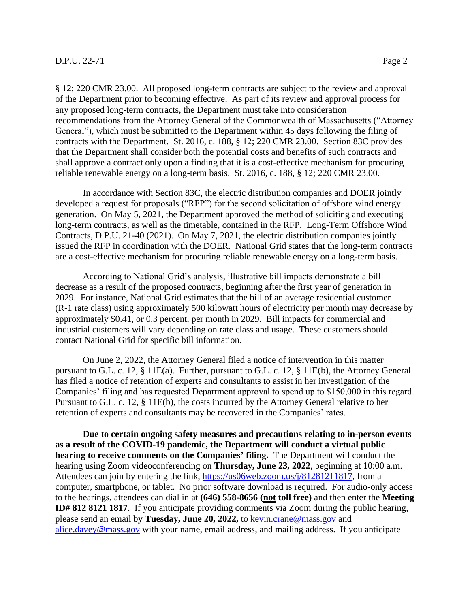## **D.P.U. 22-71** Page 2

§ 12; 220 CMR 23.00. All proposed long-term contracts are subject to the review and approval of the Department prior to becoming effective. As part of its review and approval process for any proposed long-term contracts, the Department must take into consideration recommendations from the Attorney General of the Commonwealth of Massachusetts ("Attorney General"), which must be submitted to the Department within 45 days following the filing of contracts with the Department. St. 2016, c. 188, § 12; 220 CMR 23.00. Section 83C provides that the Department shall consider both the potential costs and benefits of such contracts and shall approve a contract only upon a finding that it is a cost-effective mechanism for procuring reliable renewable energy on a long-term basis. St. 2016, c. 188, § 12; 220 CMR 23.00.

In accordance with Section 83C, the electric distribution companies and DOER jointly developed a request for proposals ("RFP") for the second solicitation of offshore wind energy generation. On May 5, 2021, the Department approved the method of soliciting and executing long-term contracts, as well as the timetable, contained in the RFP. Long-Term Offshore Wind Contracts, D.P.U. 21-40 (2021). On May 7, 2021, the electric distribution companies jointly issued the RFP in coordination with the DOER. National Grid states that the long-term contracts are a cost-effective mechanism for procuring reliable renewable energy on a long-term basis.

According to National Grid's analysis, illustrative bill impacts demonstrate a bill decrease as a result of the proposed contracts, beginning after the first year of generation in 2029. For instance, National Grid estimates that the bill of an average residential customer (R-1 rate class) using approximately 500 kilowatt hours of electricity per month may decrease by approximately \$0.41, or 0.3 percent, per month in 2029. Bill impacts for commercial and industrial customers will vary depending on rate class and usage. These customers should contact National Grid for specific bill information.

On June 2, 2022, the Attorney General filed a notice of intervention in this matter pursuant to G.L. c. 12, § 11E(a). Further, pursuant to G.L. c. 12, § 11E(b), the Attorney General has filed a notice of retention of experts and consultants to assist in her investigation of the Companies' filing and has requested Department approval to spend up to \$150,000 in this regard. Pursuant to G.L. c. 12, § 11E(b), the costs incurred by the Attorney General relative to her retention of experts and consultants may be recovered in the Companies' rates.

**Due to certain ongoing safety measures and precautions relating to in-person events as a result of the COVID-19 pandemic, the Department will conduct a virtual public hearing to receive comments on the Companies' filing.** The Department will conduct the hearing using Zoom videoconferencing on **Thursday, June 23, 2022**, beginning at 10:00 a.m. Attendees can join by entering the link, [https://us06web.zoom.us/j/81281211817,](https://us06web.zoom.us/j/81281211817) from a computer, smartphone, or tablet. No prior software download is required. For audio-only access to the hearings, attendees can dial in at **(646) 558-8656 (not toll free)** and then enter the **Meeting ID# 812 8121 1817**. If you anticipate providing comments via Zoom during the public hearing, please send an email by **Tuesday, June 20, 2022,** to [kevin.crane@mass.gov](mailto:kerri.phillips@mass.gov) and [alice.davey@mass.gov](mailto:alice.davey@mass.gov) with your name, email address, and mailing address. If you anticipate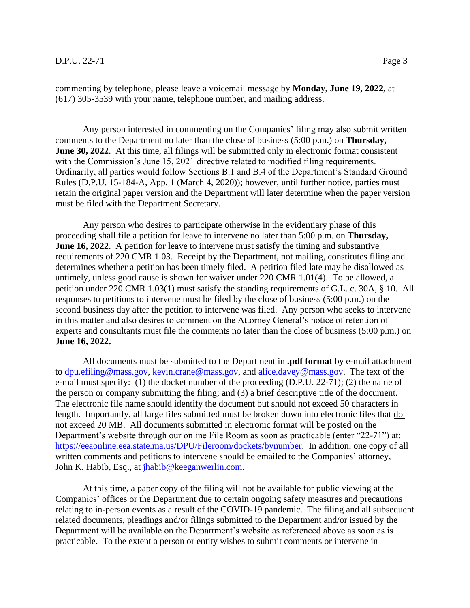commenting by telephone, please leave a voicemail message by **Monday, June 19, 2022,** at (617) 305-3539 with your name, telephone number, and mailing address.

Any person interested in commenting on the Companies' filing may also submit written comments to the Department no later than the close of business (5:00 p.m.) on **Thursday, June 30, 2022**. At this time, all filings will be submitted only in electronic format consistent with the Commission's June 15, 2021 directive related to modified filing requirements. Ordinarily, all parties would follow Sections B.1 and B.4 of the Department's Standard Ground Rules (D.P.U. 15-184-A, App. 1 (March 4, 2020)); however, until further notice, parties must retain the original paper version and the Department will later determine when the paper version must be filed with the Department Secretary.

Any person who desires to participate otherwise in the evidentiary phase of this proceeding shall file a petition for leave to intervene no later than 5:00 p.m. on **Thursday, June 16, 2022.** A petition for leave to intervene must satisfy the timing and substantive requirements of 220 CMR 1.03. Receipt by the Department, not mailing, constitutes filing and determines whether a petition has been timely filed. A petition filed late may be disallowed as untimely, unless good cause is shown for waiver under 220 CMR 1.01(4). To be allowed, a petition under 220 CMR 1.03(1) must satisfy the standing requirements of G.L. c. 30A, § 10. All responses to petitions to intervene must be filed by the close of business (5:00 p.m.) on the second business day after the petition to intervene was filed. Any person who seeks to intervene in this matter and also desires to comment on the Attorney General's notice of retention of experts and consultants must file the comments no later than the close of business (5:00 p.m.) on **June 16, 2022.**

All documents must be submitted to the Department in **.pdf format** by e-mail attachment to [dpu.efiling@mass.gov,](mailto:dpu.efiling@mass.gov) [kevin.crane@mass.gov,](mailto:kevin.crane@mass.gov) and [alice.davey@mass.gov.](mailto:alice.davey@mass.gov) The text of the e-mail must specify: (1) the docket number of the proceeding (D.P.U. 22-71); (2) the name of the person or company submitting the filing; and (3) a brief descriptive title of the document. The electronic file name should identify the document but should not exceed 50 characters in length. Importantly, all large files submitted must be broken down into electronic files that do not exceed 20 MB. All documents submitted in electronic format will be posted on the Department's website through our online File Room as soon as practicable (enter "22-71") at: [https://eeaonline.eea.state.ma.us/DPU/Fileroom/dockets/bynumber.](https://eeaonline.eea.state.ma.us/DPU/Fileroom/dockets/bynumber) In addition, one copy of all written comments and petitions to intervene should be emailed to the Companies' attorney, John K. Habib, Esq., at [jhabib@keeganwerlin.com.](mailto:jhabib@keeganwerlin.com)

At this time, a paper copy of the filing will not be available for public viewing at the Companies' offices or the Department due to certain ongoing safety measures and precautions relating to in-person events as a result of the COVID-19 pandemic. The filing and all subsequent related documents, pleadings and/or filings submitted to the Department and/or issued by the Department will be available on the Department's website as referenced above as soon as is practicable. To the extent a person or entity wishes to submit comments or intervene in